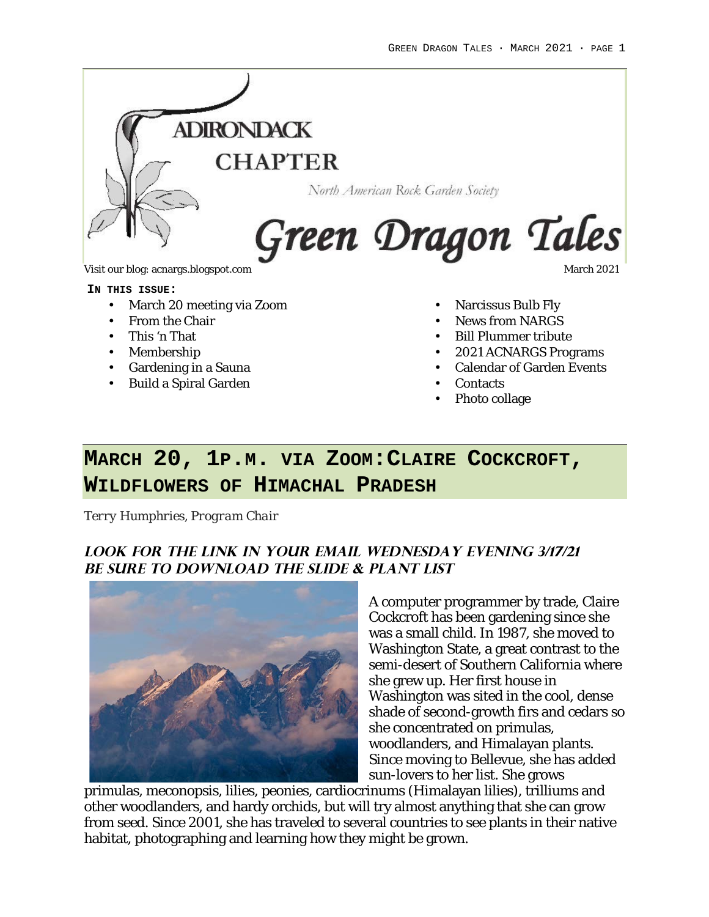

Visit our blog: acnargs.blogspot.com March 2021

#### **IN THIS ISSUE:**

- March 20 meeting via Zoom
- From the Chair
- This 'n That
- Membership
- Gardening in a Sauna
- Build a Spiral Garden
- Narcissus Bulb Fly
- News from NARGS
- Bill Plummer tribute
- 2021 ACNARGS Programs
- Calendar of Garden Events
- Contacts
- Photo collage

# **MARCH 20, 1P.M. VIA ZOOM:CLAIRE COCKCROFT, WILDFLOWERS OF HIMACHAL PRADESH**

*Terry Humphries, Program Chair*

## **Look for the link in your email Wednesday EVENING 3/17/21 Be Sure to download the Slide & plant list**



A computer programmer by trade, Claire Cockcroft has been gardening since she was a small child. In 1987, she moved to Washington State, a great contrast to the semi-desert of Southern California where she grew up. Her first house in Washington was sited in the cool, dense shade of second-growth firs and cedars so she concentrated on primulas, woodlanders, and Himalayan plants. Since moving to Bellevue, she has added sun-lovers to her list. She grows

primulas, meconopsis, lilies, peonies, cardiocrinums (Himalayan lilies), trilliums and other woodlanders, and hardy orchids, but will try almost anything that she can grow from seed. Since 2001, she has traveled to several countries to see plants in their native habitat, photographing and learning how they might be grown.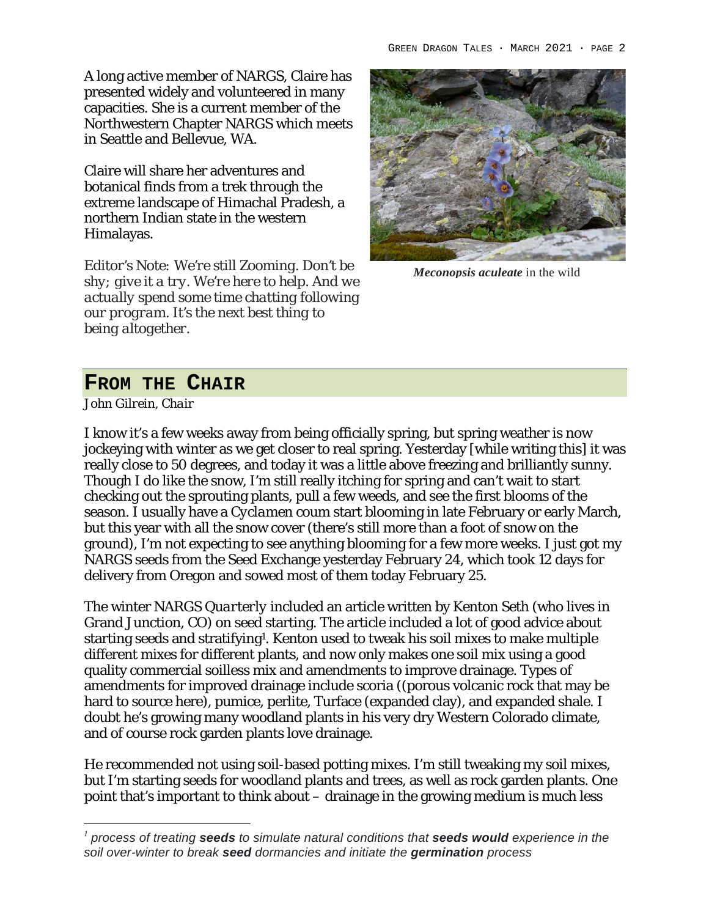A long active member of NARGS, Claire has presented widely and volunteered in many capacities. She is a current member of the Northwestern Chapter NARGS which meets in Seattle and Bellevue, WA.

Claire will share her adventures and botanical finds from a trek through the extreme landscape of Himachal Pradesh, a northern Indian state in the western Himalayas.

*Editor's Note: We're still Zooming. Don't be shy; give it a try. We're here to help. And we actually spend some time chatting following our program. It's the next best thing to being altogether.*



*Meconopsis aculeate* in the wild

# **FROM THE CHAIR**

*John Gilrein, Chair*

I know it's a few weeks away from being officially spring, but spring weather is now jockeying with winter as we get closer to real spring. Yesterday [while writing this] it was really close to 50 degrees, and today it was a little above freezing and brilliantly sunny. Though I do like the snow, I'm still really itching for spring and can't wait to start checking out the sprouting plants, pull a few weeds, and see the first blooms of the season. I usually have a *Cyclamen coum* start blooming in late February or early March, but this year with all the snow cover (there's still more than a foot of snow on the ground), I'm not expecting to see anything blooming for a few more weeks. I just got my NARGS seeds from the Seed Exchange yesterday February 24, which took 12 days for delivery from Oregon and sowed most of them today February 25.

The winter *NARGS Quarterly* included an article written by Kenton Seth (who lives in Grand Junction, CO) on seed starting. The article included a lot of good advice about starting seeds and stratifying<sup>1</sup>. Kenton used to tweak his soil mixes to make multiple different mixes for different plants, and now only makes one soil mix using a good quality commercial soilless mix and amendments to improve drainage. Types of amendments for improved drainage include scoria ((porous volcanic rock that may be hard to source here), pumice, perlite, Turface (expanded clay), and expanded shale. I doubt he's growing many woodland plants in his very dry Western Colorado climate, and of course rock garden plants love drainage.

He recommended not using soil-based potting mixes. I'm still tweaking my soil mixes, but I'm starting seeds for woodland plants and trees, as well as rock garden plants. One point that's important to think about – drainage in the growing medium is much less

*<sup>1</sup> process of treating seeds to simulate natural conditions that seeds would experience in the soil over-winter to break seed dormancies and initiate the germination process*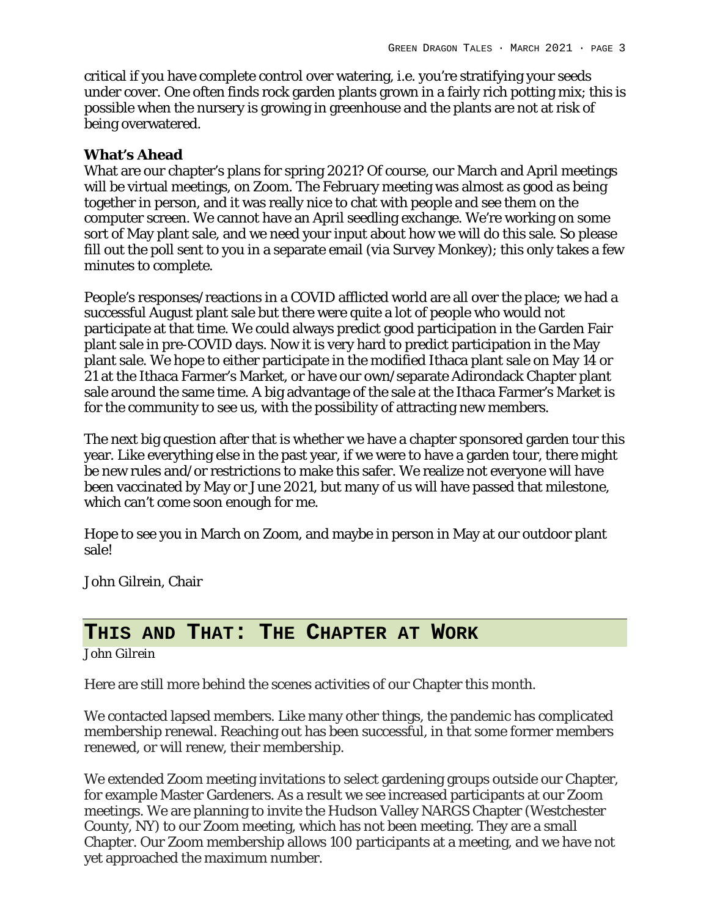critical if you have complete control over watering, i.e. you're stratifying your seeds under cover. One often finds rock garden plants grown in a fairly rich potting mix; this is possible when the nursery is growing in greenhouse and the plants are not at risk of being overwatered.

### **What's Ahead**

What are our chapter's plans for spring 2021? Of course, our March and April meetings will be virtual meetings, on Zoom. The February meeting was almost as good as being together in person, and it was really nice to chat with people and see them on the computer screen. We cannot have an April seedling exchange. We're working on some sort of May plant sale, and we need your input about how we will do this sale. So please fill out the poll sent to you in a separate email (via Survey Monkey); this only takes a few minutes to complete.

People's responses/reactions in a COVID afflicted world are all over the place; we had a successful August plant sale but there were quite a lot of people who would not participate at that time. We could always predict good participation in the Garden Fair plant sale in pre-COVID days. Now it is very hard to predict participation in the May plant sale. We hope to either participate in the modified Ithaca plant sale on May 14 or 21 at the Ithaca Farmer's Market, or have our own/separate Adirondack Chapter plant sale around the same time. A big advantage of the sale at the Ithaca Farmer's Market is for the community to see us, with the possibility of attracting new members.

The next big question after that is whether we have a chapter sponsored garden tour this year. Like everything else in the past year, if we were to have a garden tour, there might be new rules and/or restrictions to make this safer. We realize not everyone will have been vaccinated by May or June 2021, but many of us will have passed that milestone, which can't come soon enough for me.

Hope to see you in March on Zoom, and maybe in person in May at our outdoor plant sale!

John Gilrein, Chair

## **THIS AND THAT: THE CHAPTER AT WORK**

*John Gilrein*

Here are still more behind the scenes activities of our Chapter this month.

We contacted lapsed members. Like many other things, the pandemic has complicated membership renewal. Reaching out has been successful, in that some former members renewed, or will renew, their membership.

We extended Zoom meeting invitations to select gardening groups outside our Chapter, for example Master Gardeners. As a result we see increased participants at our Zoom meetings. We are planning to invite the Hudson Valley NARGS Chapter (Westchester County, NY) to our Zoom meeting, which has not been meeting. They are a small Chapter. Our Zoom membership allows 100 participants at a meeting, and we have not yet approached the maximum number.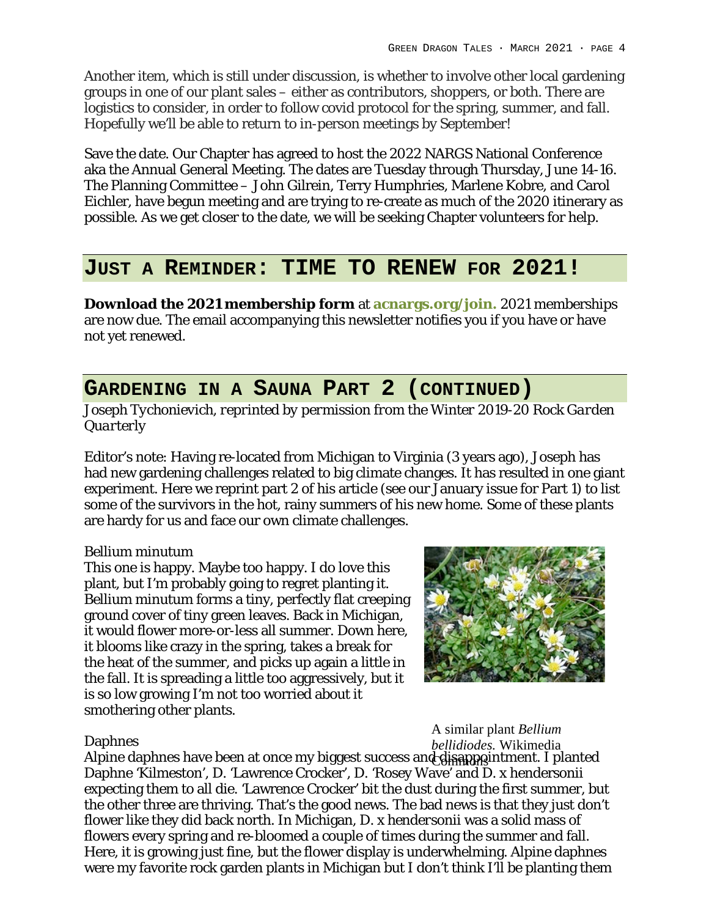Another item, which is still under discussion, is whether to involve other local gardening groups in one of our plant sales – either as contributors, shoppers, or both. There are logistics to consider, in order to follow covid protocol for the spring, summer, and fall. Hopefully we'll be able to return to in-person meetings by September!

Save the date. Our Chapter has agreed to host the 2022 NARGS National Conference aka the Annual General Meeting. The dates are Tuesday through Thursday, June 14-16. The Planning Committee – John Gilrein, Terry Humphries, Marlene Kobre, and Carol Eichler, have begun meeting and are trying to re-create as much of the 2020 itinerary as possible. As we get closer to the date, we will be seeking Chapter volunteers for help.

# **JUST A REMINDER: TIME TO RENEW FOR 2021!**

**Download the 2021 membership form** at **acnargs.org/join.** 2021 memberships are now due. The email accompanying this newsletter notifies you if you have or have not yet renewed.

# **GARDENING IN A SAUNA PART 2 (CONTINUED)**

*Joseph Tychonievich, reprinted by permission from* the *Winter 2019-20 Rock Garden Quarterly*

Editor's note: Having re-located from Michigan to Virginia (3 years ago), Joseph has had new gardening challenges related to big climate changes. It has resulted in one giant experiment. Here we reprint part 2 of his article (see our January issue for Part 1) to list some of the survivors in the hot, rainy summers of his new home. Some of these plants are hardy for us and face our own climate challenges.

## *Bellium minutum*

This one is happy. Maybe too happy. I do love this plant, but I'm probably going to regret planting it*. Bellium minutum* forms a tiny, perfectly flat creeping ground cover of tiny green leaves. Back in Michigan, it would flower more-or-less all summer. Down here, it blooms like crazy in the spring, takes a break for the heat of the summer, and picks up again a little in the fall. It is spreading a little too aggressively, but it is so low growing I'm not too worried about it smothering other plants.



### Daphnes

A similar plant *Bellium bellidiodes.* Wikimedia

Alpine daphnes have been at once my biggest success and disappointment. I planted Daphne 'Kilmeston', D. 'Lawrence Crocker', D. 'Rosey Wave' and D. x hendersonii expecting them to all die. 'Lawrence Crocker' bit the dust during the first summer, but the other three are thriving. That's the good news. The bad news is that they just don't flower like they did back north. In Michigan, *D. x hendersonii* was a solid mass of flowers every spring and re-bloomed a couple of times during the summer and fall. Here, it is growing just fine, but the flower display is underwhelming. Alpine daphnes were my favorite rock garden plants in Michigan but I don't think I'll be planting them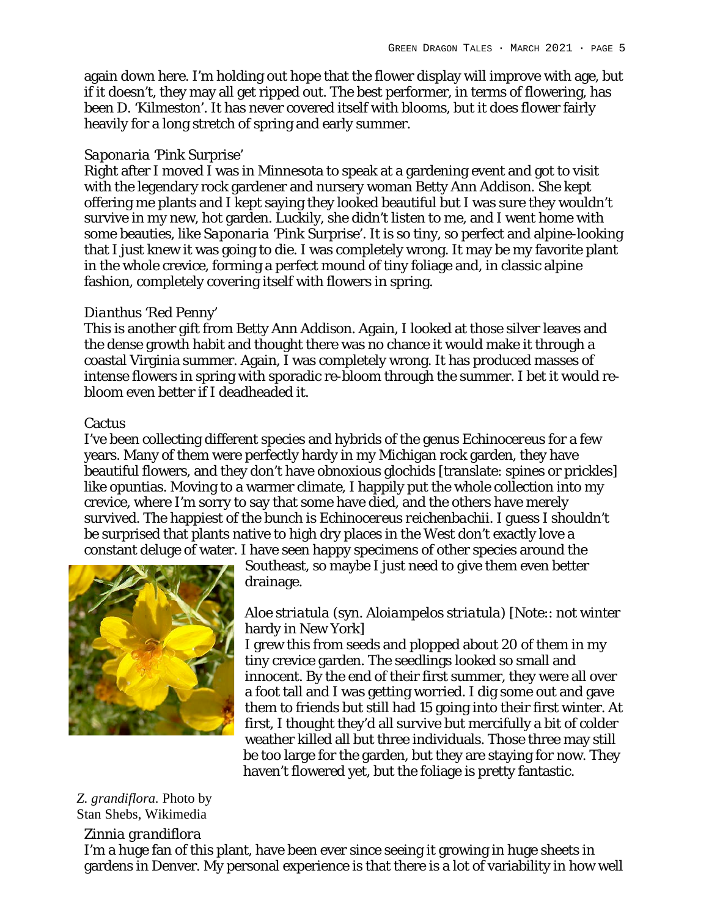again down here. I'm holding out hope that the flower display will improve with age, but if it doesn't, they may all get ripped out. The best performer, in terms of flowering, has been D. 'Kilmeston'. It has never covered itself with blooms, but it does flower fairly heavily for a long stretch of spring and early summer.

### *Saponaria* 'Pink Surprise'

Right after I moved I was in Minnesota to speak at a gardening event and got to visit with the legendary rock gardener and nursery woman Betty Ann Addison. She kept offering me plants and I kept saying they looked beautiful but I was sure they wouldn't survive in my new, hot garden. Luckily, she didn't listen to me, and I went home with some beauties, like *Saponaria* 'Pink Surprise'. It is so tiny, so perfect and alpine-looking that I just knew it was going to die. I was completely wrong. It may be my favorite plant in the whole crevice, forming a perfect mound of tiny foliage and, in classic alpine fashion, completely covering itself with flowers in spring.

## *Dianthus* 'Red Penny'

This is another gift from Betty Ann Addison. Again, I looked at those silver leaves and the dense growth habit and thought there was no chance it would make it through a coastal Virginia summer. Again, I was completely wrong. It has produced masses of intense flowers in spring with sporadic re-bloom through the summer. I bet it would rebloom even better if I deadheaded it.

## Cactus

I've been collecting different species and hybrids of the genus *Echinocereus* for a few years. Many of them were perfectly hardy in my Michigan rock garden, they have beautiful flowers, and they don't have obnoxious glochids [translate: spines or prickles] like opuntias. Moving to a warmer climate, I happily put the whole collection into my crevice, where I'm sorry to say that some have died, and the others have merely survived. The happiest of the bunch is *Echinocereus reichenbachii.* I guess I shouldn't be surprised that plants native to high dry places in the West don't exactly love a constant deluge of water. I have seen happy specimens of other species around the



Southeast, so maybe I just need to give them even better drainage.

## *Aloe striatula* (syn. *Aloiampelos striatula*) [Note:: not winter hardy in New York]

I grew this from seeds and plopped about 20 of them in my tiny crevice garden. The seedlings looked so small and innocent. By the end of their first summer, they were all over a foot tall and I was getting worried. I dig some out and gave them to friends but still had 15 going into their first winter. At first, I thought they'd all survive but mercifully a bit of colder weather killed all but three individuals. Those three may still be too large for the garden, but they are staying for now. They haven't flowered yet, but the foliage is pretty fantastic.

## *Z. grandiflora.* Photo by Stan Shebs, Wikimedia

### *Zinnia grandiflora*

I'm a huge fan of this plant, have been ever since seeing it growing in huge sheets in gardens in Denver. My personal experience is that there is a lot of variability in how well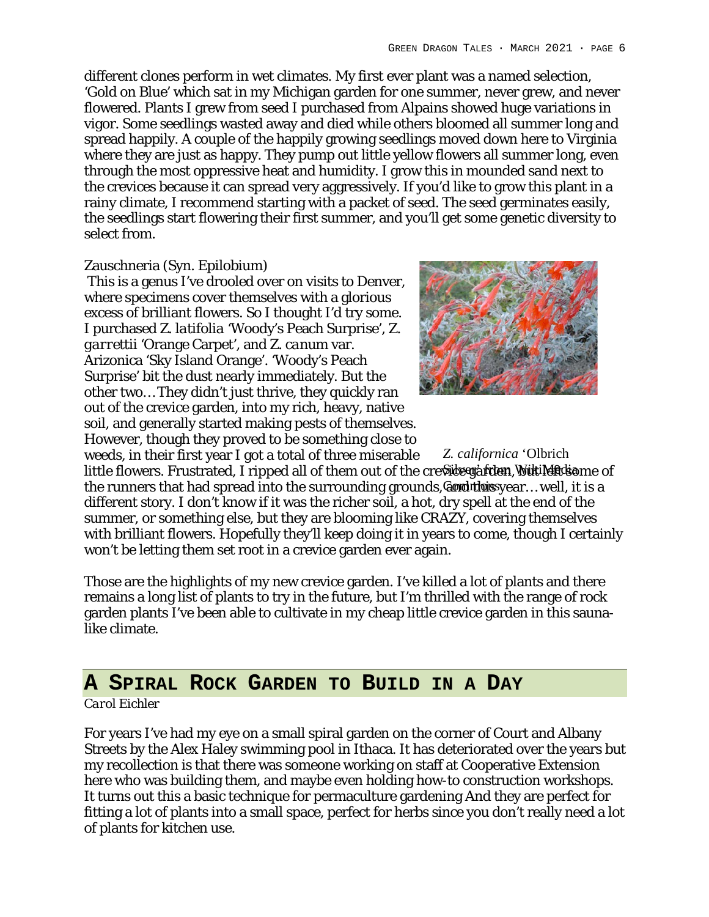different clones perform in wet climates. My first ever plant was a named selection, 'Gold on Blue' which sat in my Michigan garden for one summer, never grew, and never flowered. Plants I grew from seed I purchased from Alpains showed huge variations in vigor. Some seedlings wasted away and died while others bloomed all summer long and spread happily. A couple of the happily growing seedlings moved down here to Virginia where they are just as happy. They pump out little yellow flowers all summer long, even through the most oppressive heat and humidity. I grow this in mounded sand next to the crevices because it can spread very aggressively. If you'd like to grow this plant in a rainy climate, I recommend starting with a packet of seed. The seed germinates easily, the seedlings start flowering their first summer, and you'll get some genetic diversity to select from.

### Zauschneria (Syn. Epilobium)

This is a genus I've drooled over on visits to Denver, where specimens cover themselves with a glorious excess of brilliant flowers. So I thought I'd try some. I purchased *Z. latifolia* 'Woody's Peach Surprise', *Z. garrettii* 'Orange Carpet', and *Z. canum* var. Arizonica 'Sky Island Orange'. 'Woody's Peach Surprise' bit the dust nearly immediately. But the other two… They didn't just thrive, they quickly ran out of the crevice garden, into my rich, heavy, native soil, and generally started making pests of themselves. However, though they proved to be something close to



weeds, in their first year I got a total of three miserable little flowers. Frustrated, I ripped all of them out of the credidegrafden, WukiMediame of the runners that had spread into the surrounding grounds, **@orduthoiss**year... well, it is a different story. I don't know if it was the richer soil, a hot, dry spell at the end of the summer, or something else, but they are blooming like CRAZY, covering themselves with brilliant flowers. Hopefully they'll keep doing it in years to come, though I certainly won't be letting them set root in a crevice garden ever again. *Z. californica* 'Olbrich

Those are the highlights of my new crevice garden. I've killed a lot of plants and there remains a long list of plants to try in the future, but I'm thrilled with the range of rock garden plants I've been able to cultivate in my cheap little crevice garden in this saunalike climate.

## **A SPIRAL ROCK GARDEN TO BUILD IN A DAY**

### *Carol Eichler*

For years I've had my eye on a small spiral garden on the corner of Court and Albany Streets by the Alex Haley swimming pool in Ithaca. It has deteriorated over the years but my recollection is that there was someone working on staff at Cooperative Extension here who was building them, and maybe even holding how-to construction workshops. It turns out this a basic technique for permaculture gardening And they are perfect for fitting a lot of plants into a small space, perfect for herbs since you don't really need a lot of plants for kitchen use.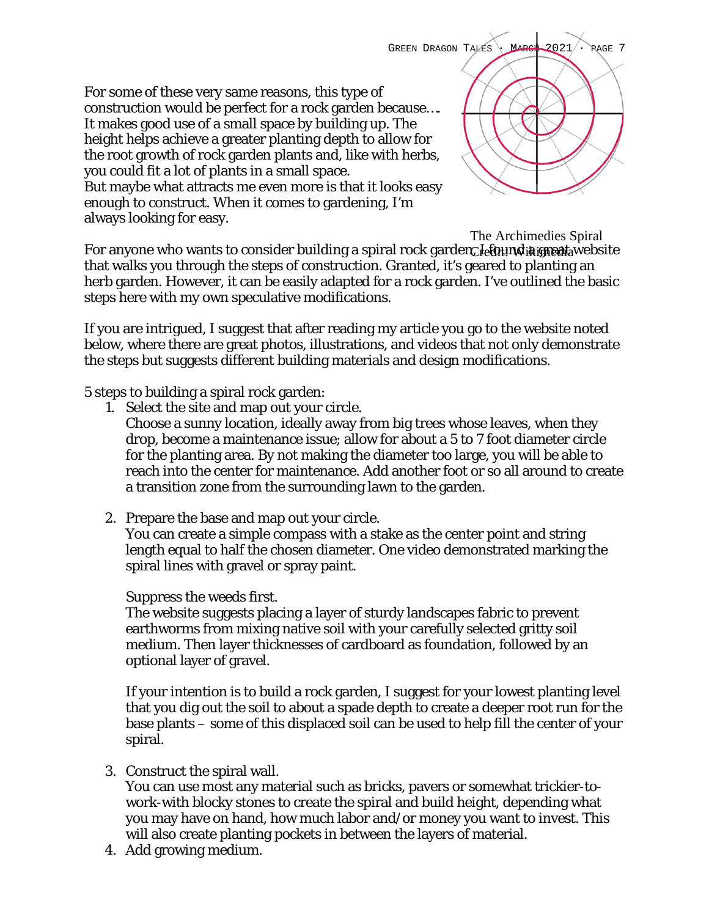For some of these very same reasons, this type of construction would be perfect for a rock garden because…. It makes good use of a small space by building up. The height helps achieve a greater planting depth to allow for the root growth of rock garden plants and, like with herbs, you could fit a lot of plants in a small space. But maybe what attracts me even more is that it looks easy enough to construct. When it comes to gardening, I'm always looking for easy.

GREEN DRAGON TALES MARCH 2021 · RAGE 7

For anyone who wants to consider building a spiral rock garden *I et* gun ta great a website that walks you through the steps of construction. Granted, it's geared to planting an herb garden. However, it can be easily adapted for a rock garden. I've outlined the basic steps here with my own speculative modifications. The Archimedies Spiral

If you are intrigued, I suggest that after reading my article you go to the website noted below, where there are great photos, illustrations, and videos that not only demonstrate the steps but suggests different building materials and design modifications.

5 steps to building a spiral rock garden:

- 1. Select the site and map out your circle. Choose a sunny location, ideally away from big trees whose leaves, when they drop, become a maintenance issue; allow for about a 5 to 7 foot diameter circle for the planting area. By not making the diameter too large, you will be able to reach into the center for maintenance. Add another foot or so all around to create a transition zone from the surrounding lawn to the garden.
- 2. Prepare the base and map out your circle. You can create a simple compass with a stake as the center point and string length equal to half the chosen diameter. One video demonstrated marking the spiral lines with gravel or spray paint.

## Suppress the weeds first.

The website suggests placing a layer of sturdy landscapes fabric to prevent earthworms from mixing native soil with your carefully selected gritty soil medium. Then layer thicknesses of cardboard as foundation, followed by an optional layer of gravel.

If your intention is to build a rock garden, I suggest for your lowest planting level that you dig out the soil to about a spade depth to create a deeper root run for the base plants – some of this displaced soil can be used to help fill the center of your spiral.

3. Construct the spiral wall.

You can use most any material such as bricks, pavers or somewhat trickier-towork-with blocky stones to create the spiral and build height, depending what you may have on hand, how much labor and/or money you want to invest. This will also create planting pockets in between the layers of material.

4. Add growing medium.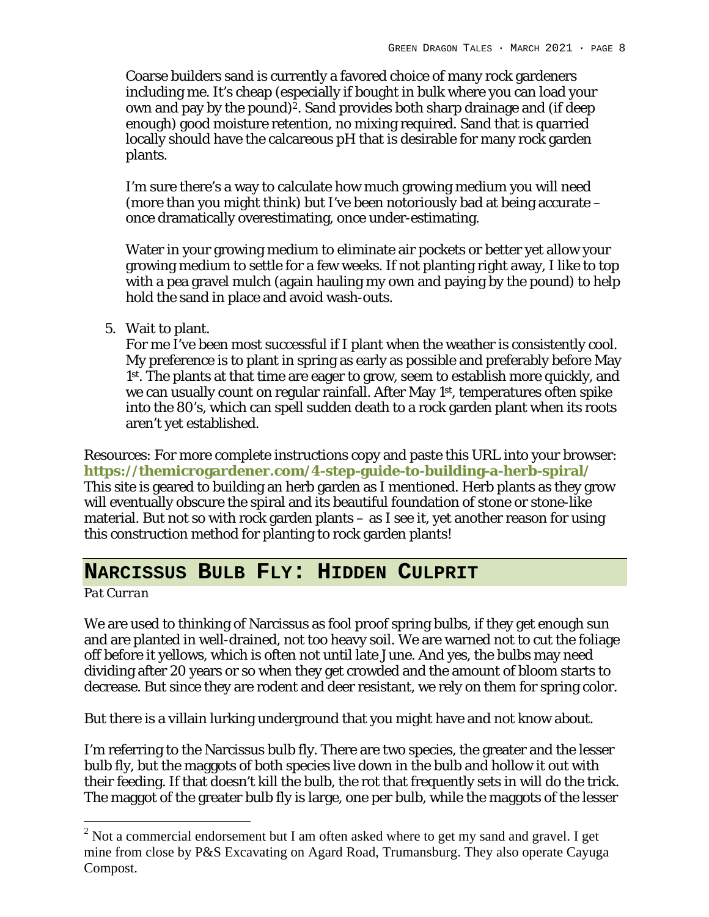Coarse builders sand is currently a favored choice of many rock gardeners including me. It's cheap (especially if bought in bulk where you can load your own and pay by the pound)<sup>2</sup>. Sand provides both sharp drainage and (if deep enough) good moisture retention, no mixing required. Sand that is quarried locally should have the calcareous pH that is desirable for many rock garden plants.

I'm sure there's a way to calculate how much growing medium you will need (more than you might think) but I've been notoriously bad at being accurate – once dramatically overestimating, once under-estimating.

Water in your growing medium to eliminate air pockets or better yet allow your growing medium to settle for a few weeks. If not planting right away, I like to top with a pea gravel mulch (again hauling my own and paying by the pound) to help hold the sand in place and avoid wash-outs.

5. Wait to plant.

For me I've been most successful if I plant when the weather is consistently cool. My preference is to plant in spring as early as possible and preferably before May 1st. The plants at that time are eager to grow, seem to establish more quickly, and we can usually count on regular rainfall. After May 1<sup>st</sup>, temperatures often spike into the 80's, which can spell sudden death to a rock garden plant when its roots aren't yet established.

Resources: For more complete instructions copy and paste this URL into your browser: **https://themicrogardener.com/4-step-guide-to-building-a-herb-spiral/** This site is geared to building an herb garden as I mentioned. Herb plants as they grow will eventually obscure the spiral and its beautiful foundation of stone or stone-like material. But not so with rock garden plants – as I see it, yet another reason for using this construction method for planting to rock garden plants!

## **NARCISSUS BULB FLY: HIDDEN CULPRIT**

*Pat Curran*

We are used to thinking of Narcissus as fool proof spring bulbs, if they get enough sun and are planted in well-drained, not too heavy soil. We are warned not to cut the foliage off before it yellows, which is often not until late June. And yes, the bulbs may need dividing after 20 years or so when they get crowded and the amount of bloom starts to decrease. But since they are rodent and deer resistant, we rely on them for spring color.

But there is a villain lurking underground that you might have and not know about.

I'm referring to the Narcissus bulb fly. There are two species, the greater and the lesser bulb fly, but the maggots of both species live down in the bulb and hollow it out with their feeding. If that doesn't kill the bulb, the rot that frequently sets in will do the trick. The maggot of the greater bulb fly is large, one per bulb, while the maggots of the lesser

 $2$  Not a commercial endorsement but I am often asked where to get my sand and gravel. I get mine from close by P&S Excavating on Agard Road, Trumansburg. They also operate Cayuga Compost.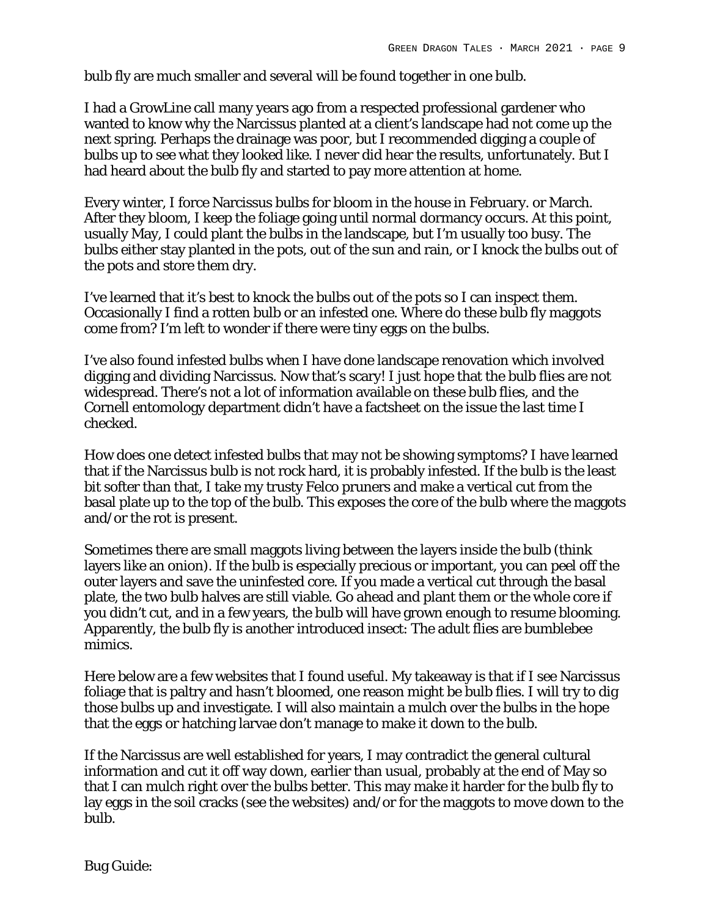bulb fly are much smaller and several will be found together in one bulb.

I had a GrowLine call many years ago from a respected professional gardener who wanted to know why the Narcissus planted at a client's landscape had not come up the next spring. Perhaps the drainage was poor, but I recommended digging a couple of bulbs up to see what they looked like. I never did hear the results, unfortunately. But I had heard about the bulb fly and started to pay more attention at home.

Every winter, I force Narcissus bulbs for bloom in the house in February. or March. After they bloom, I keep the foliage going until normal dormancy occurs. At this point, usually May, I could plant the bulbs in the landscape, but I'm usually too busy. The bulbs either stay planted in the pots, out of the sun and rain, or I knock the bulbs out of the pots and store them dry.

I've learned that it's best to knock the bulbs out of the pots so I can inspect them. Occasionally I find a rotten bulb or an infested one. Where do these bulb fly maggots come from? I'm left to wonder if there were tiny eggs on the bulbs.

I've also found infested bulbs when I have done landscape renovation which involved digging and dividing Narcissus. Now that's scary! I just hope that the bulb flies are not widespread. There's not a lot of information available on these bulb flies, and the Cornell entomology department didn't have a factsheet on the issue the last time I checked.

How does one detect infested bulbs that may not be showing symptoms? I have learned that if the Narcissus bulb is not rock hard, it is probably infested. If the bulb is the least bit softer than that, I take my trusty Felco pruners and make a vertical cut from the basal plate up to the top of the bulb. This exposes the core of the bulb where the maggots and/or the rot is present.

Sometimes there are small maggots living between the layers inside the bulb (think layers like an onion). If the bulb is especially precious or important, you can peel off the outer layers and save the uninfested core. If you made a vertical cut through the basal plate, the two bulb halves are still viable. Go ahead and plant them or the whole core if you didn't cut, and in a few years, the bulb will have grown enough to resume blooming. Apparently, the bulb fly is another introduced insect: The adult flies are bumblebee mimics.

Here below are a few websites that I found useful. My takeaway is that if I see Narcissus foliage that is paltry and hasn't bloomed, one reason might be bulb flies. I will try to dig those bulbs up and investigate. I will also maintain a mulch over the bulbs in the hope that the eggs or hatching larvae don't manage to make it down to the bulb.

If the Narcissus are well established for years, I may contradict the general cultural information and cut it off way down, earlier than usual, probably at the end of May so that I can mulch right over the bulbs better. This may make it harder for the bulb fly to lay eggs in the soil cracks (see the websites) and/or for the maggots to move down to the bulb.

Bug Guide: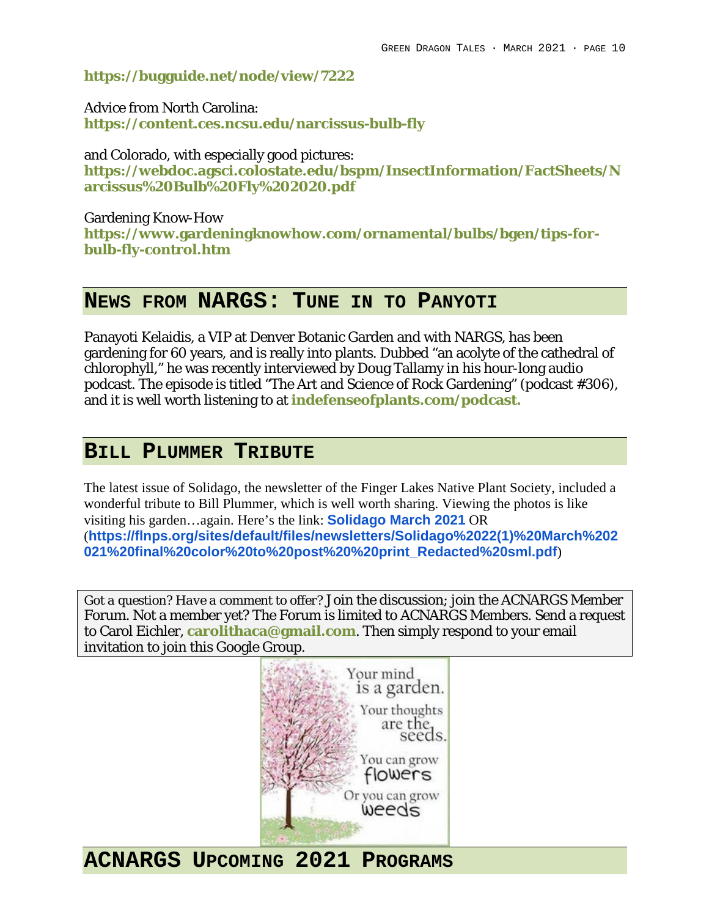**https://bugguide.net/node/view/7222**

Advice from North Carolina: **https://content.ces.ncsu.edu/narcissus-bulb-fly**

and Colorado, with especially good pictures: **https://webdoc.agsci.colostate.edu/bspm/InsectInformation/FactSheets/N arcissus%20Bulb%20Fly%202020.pdf**

Gardening Know-How **https://www.gardeningknowhow.com/ornamental/bulbs/bgen/tips-forbulb-fly-control.htm**

## **NEWS FROM NARGS: TUNE IN TO PANYOTI**

Panayoti Kelaidis, a VIP at Denver Botanic Garden and with NARGS, has been gardening for 60 years, and is really into plants. Dubbed "an acolyte of the cathedral of chlorophyll," he was recently interviewed by Doug Tallamy in his hour-long audio podcast. The episode is titled "The Art and Science of Rock Gardening" (podcast #306), and it is well worth listening to at **indefenseofplants.com/podcast.**

# **BILL PLUMMER TRIBUTE**

The latest issue of Solidago, the newsletter of the Finger Lakes Native Plant Society, included a wonderful tribute to Bill Plummer, which is well worth sharing. Viewing the photos is like visiting his garden…again. Here's the link: **Solidago March 2021** OR (**https://flnps.org/sites/default/files/newsletters/Solidago%2022(1)%20March%202 021%20final%20color%20to%20post%20%20print\_Redacted%20sml.pdf**)

*Got a question? Have a comment to offer?* Join the discussion; join the ACNARGS Member Forum. Not a member yet? The Forum is limited to ACNARGS Members. Send a request to Carol Eichler, **carolithaca@gmail.com**. Then simply respond to your email invitation to join this Google Group.



**ACNARGS UPCOMING 2021 PROGRAMS**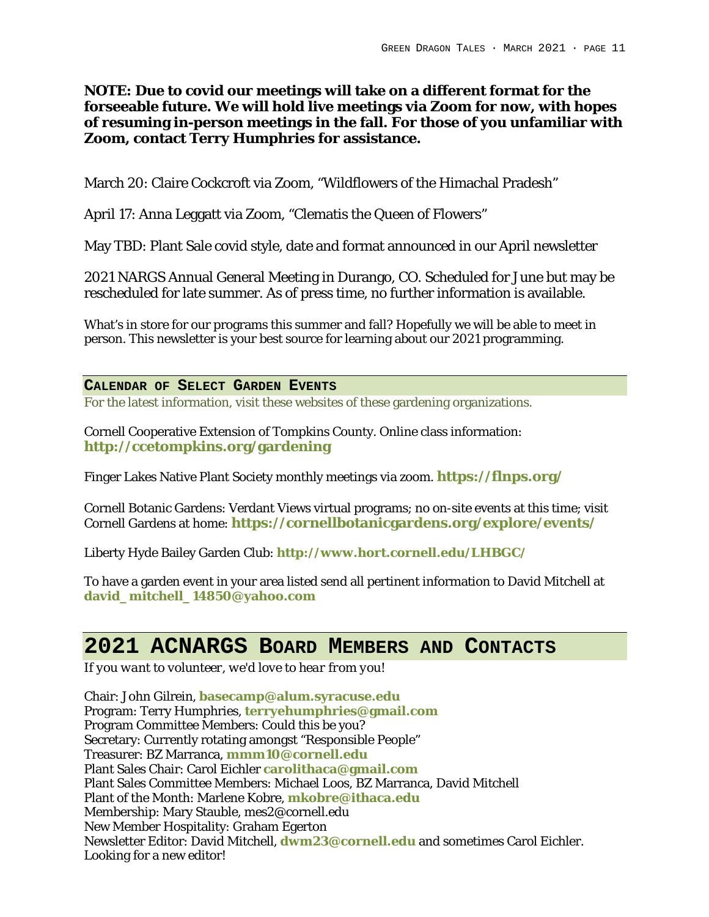**NOTE: Due to covid our meetings will take on a different format for the forseeable future. We will hold live meetings via Zoom for now, with hopes of resuming in-person meetings in the fall. For those of you unfamiliar with Zoom, contact Terry Humphries for assistance.** 

March 20: Claire Cockcroft via Zoom, "Wildflowers of the Himachal Pradesh"

April 17: Anna Leggatt via Zoom, "Clematis the Queen of Flowers"

May TBD: Plant Sale covid style, date and format announced in our April newsletter

2021 NARGS Annual General Meeting in Durango, CO. Scheduled for June but may be rescheduled for late summer. As of press time, no further information is available.

What's in store for our programs this summer and fall? Hopefully we will be able to meet in person. This newsletter is your best source for learning about our 2021 programming.

### **CALENDAR OF SELECT GARDEN EVENTS**

For the latest information, visit these websites of these gardening organizations.

Cornell Cooperative Extension of Tompkins County. Online class information: **http://ccetompkins.org/gardening**

Finger Lakes Native Plant Society monthly meetings via zoom. **https://flnps.org/**

Cornell Botanic Gardens: Verdant Views virtual programs; no on-site events at this time; visit Cornell Gardens at home: **https://cornellbotanicgardens.org/explore/events/**

Liberty Hyde Bailey Garden Club: **http://www.hort.cornell.edu/LHBGC/**

To have a garden event in your area listed send all pertinent information to David Mitchell at **david\_mitchell\_14850@yahoo.com**

# **2021 ACNARGS BOARD MEMBERS AND CONTACTS**

*If you want to volunteer, we'd love to hear from you!*

Chair: John Gilrein, **basecamp@alum.syracuse.edu** Program: Terry Humphries, **terryehumphries@gmail.com** Program Committee Members: Could this be you? Secretary: Currently rotating amongst "Responsible People" Treasurer: BZ Marranca, **mmm10@cornell.edu** Plant Sales Chair: Carol Eichler **carolithaca@gmail.com** Plant Sales Committee Members: Michael Loos, BZ Marranca, David Mitchell Plant of the Month: Marlene Kobre, **mkobre@ithaca.edu** Membership: Mary Stauble, mes2@cornell.edu New Member Hospitality: Graham Egerton Newsletter Editor: David Mitchell, **dwm23@cornell.edu** and sometimes Carol Eichler. Looking for a new editor!